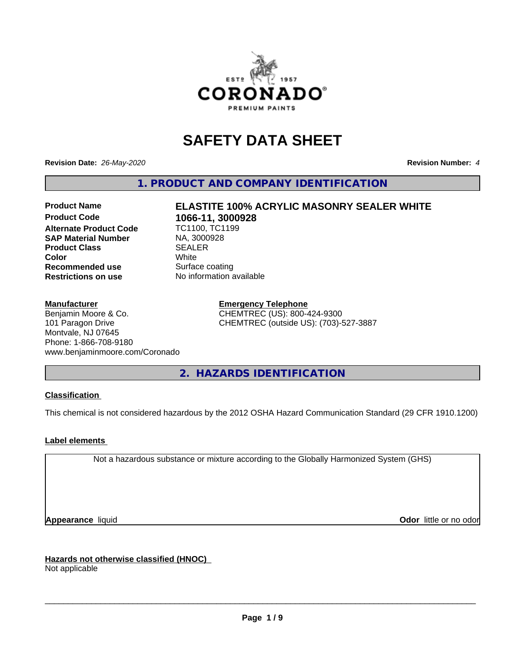

## **SAFETY DATA SHEET**

**Revision Date:** *26-May-2020* **Revision Number:** *4*

**1. PRODUCT AND COMPANY IDENTIFICATION**

# **Product Name ELASTITE 100% ACRYLIC MASONRY SEALER WHITE**

**Alternate Product Code SAP Material Number** MA, 3000928<br> **Product Class** SEALER **Product Class** SEALER **Recommended use** Surface coating<br> **Restrictions on use** No information available **Restrictions on use** 

**1066-11, 3000928**<br>TC1100, TC1199 **Color** White

#### **Manufacturer**

Benjamin Moore & Co. 101 Paragon Drive Montvale, NJ 07645 Phone: 1-866-708-9180 www.benjaminmoore.com/Coronado **Emergency Telephone** CHEMTREC (US): 800-424-9300 CHEMTREC (outside US): (703)-527-3887

**2. HAZARDS IDENTIFICATION**

#### **Classification**

This chemical is not considered hazardous by the 2012 OSHA Hazard Communication Standard (29 CFR 1910.1200)

#### **Label elements**

Not a hazardous substance or mixture according to the Globally Harmonized System (GHS)

**Appearance** liquid **Odor in the original of the original of the original of the original of the original of the original of the original of the original of the original of the original of the original of the original of t** 

**Hazards not otherwise classified (HNOC)** Not applicable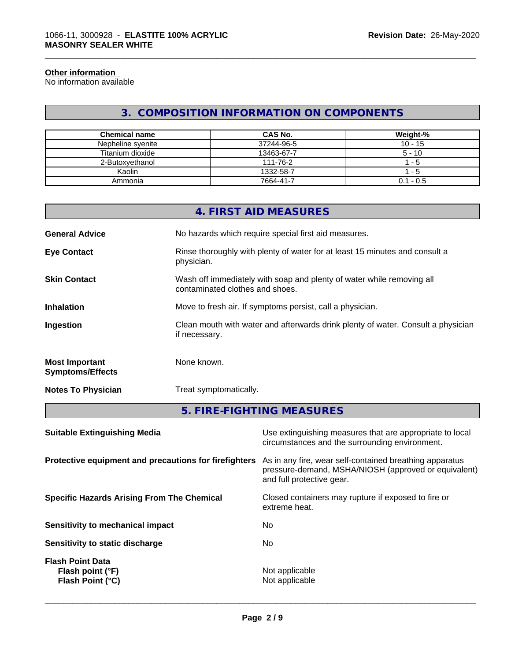#### **Other information**

No information available

## **3. COMPOSITION INFORMATION ON COMPONENTS**

\_\_\_\_\_\_\_\_\_\_\_\_\_\_\_\_\_\_\_\_\_\_\_\_\_\_\_\_\_\_\_\_\_\_\_\_\_\_\_\_\_\_\_\_\_\_\_\_\_\_\_\_\_\_\_\_\_\_\_\_\_\_\_\_\_\_\_\_\_\_\_\_\_\_\_\_\_\_\_\_\_\_\_\_\_\_\_\_\_\_\_\_\_

| <b>Chemical name</b> | CAS No.    | Weight-%    |
|----------------------|------------|-------------|
| Nepheline syenite    | 37244-96-5 | $10 - 15$   |
| Titanium dioxide     | 13463-67-7 | $5 - 10$    |
| 2-Butoxvethanol      | 111-76-2   | - 5         |
| Kaolin               | 1332-58-7  | - 5         |
| Ammonia              | 7664-41-7  | $0.1 - 0.5$ |

|                                                  | 4. FIRST AID MEASURES                                                                                    |
|--------------------------------------------------|----------------------------------------------------------------------------------------------------------|
| <b>General Advice</b>                            | No hazards which require special first aid measures.                                                     |
| <b>Eye Contact</b>                               | Rinse thoroughly with plenty of water for at least 15 minutes and consult a<br>physician.                |
| <b>Skin Contact</b>                              | Wash off immediately with soap and plenty of water while removing all<br>contaminated clothes and shoes. |
| <b>Inhalation</b>                                | Move to fresh air. If symptoms persist, call a physician.                                                |
| Ingestion                                        | Clean mouth with water and afterwards drink plenty of water. Consult a physician<br>if necessary.        |
| <b>Most Important</b><br><b>Symptoms/Effects</b> | None known.                                                                                              |
| <b>Notes To Physician</b>                        | Treat symptomatically.                                                                                   |
|                                                  | F FINE FICUTING MEACURES                                                                                 |

**5. FIRE-FIGHTING MEASURES**

| As in any fire, wear self-contained breathing apparatus<br>Protective equipment and precautions for firefighters<br>pressure-demand, MSHA/NIOSH (approved or equivalent)<br>and full protective gear.<br><b>Specific Hazards Arising From The Chemical</b><br>Closed containers may rupture if exposed to fire or<br>extreme heat.<br>No.<br>Sensitivity to mechanical impact<br>No.<br>Sensitivity to static discharge<br><b>Flash Point Data</b><br>Not applicable<br>Flash point (°F)<br><b>Flash Point (°C)</b><br>Not applicable | <b>Suitable Extinguishing Media</b> | Use extinguishing measures that are appropriate to local<br>circumstances and the surrounding environment. |
|---------------------------------------------------------------------------------------------------------------------------------------------------------------------------------------------------------------------------------------------------------------------------------------------------------------------------------------------------------------------------------------------------------------------------------------------------------------------------------------------------------------------------------------|-------------------------------------|------------------------------------------------------------------------------------------------------------|
|                                                                                                                                                                                                                                                                                                                                                                                                                                                                                                                                       |                                     |                                                                                                            |
|                                                                                                                                                                                                                                                                                                                                                                                                                                                                                                                                       |                                     |                                                                                                            |
|                                                                                                                                                                                                                                                                                                                                                                                                                                                                                                                                       |                                     |                                                                                                            |
|                                                                                                                                                                                                                                                                                                                                                                                                                                                                                                                                       |                                     |                                                                                                            |
|                                                                                                                                                                                                                                                                                                                                                                                                                                                                                                                                       |                                     |                                                                                                            |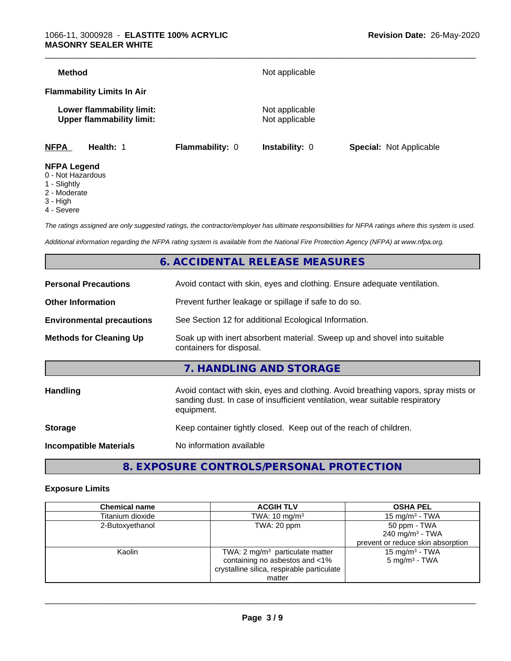| <b>Method</b>      |                                                               |                        | Not applicable                   |                                |
|--------------------|---------------------------------------------------------------|------------------------|----------------------------------|--------------------------------|
|                    | <b>Flammability Limits In Air</b>                             |                        |                                  |                                |
|                    | Lower flammability limit:<br><b>Upper flammability limit:</b> |                        | Not applicable<br>Not applicable |                                |
| <b>NFPA</b>        | Health: 1                                                     | <b>Flammability: 0</b> | <b>Instability: 0</b>            | <b>Special: Not Applicable</b> |
| <b>NFPA Legend</b> |                                                               |                        |                                  |                                |

- 0 Not Hazardous
- 1 Slightly
- 2 Moderate
- 3 High
- 4 Severe

*The ratings assigned are only suggested ratings, the contractor/employer has ultimate responsibilities for NFPA ratings where this system is used.*

*Additional information regarding the NFPA rating system is available from the National Fire Protection Agency (NFPA) at www.nfpa.org.*

## **6. ACCIDENTAL RELEASE MEASURES**

| <b>Personal Precautions</b>      | Avoid contact with skin, eyes and clothing. Ensure adequate ventilation.                                                                                                         |
|----------------------------------|----------------------------------------------------------------------------------------------------------------------------------------------------------------------------------|
| <b>Other Information</b>         | Prevent further leakage or spillage if safe to do so.                                                                                                                            |
| <b>Environmental precautions</b> | See Section 12 for additional Ecological Information.                                                                                                                            |
| <b>Methods for Cleaning Up</b>   | Soak up with inert absorbent material. Sweep up and shovel into suitable<br>containers for disposal.                                                                             |
|                                  | 7. HANDLING AND STORAGE                                                                                                                                                          |
| Handling                         | Avoid contact with skin, eyes and clothing. Avoid breathing vapors, spray mists or<br>sanding dust. In case of insufficient ventilation, wear suitable respiratory<br>equipment. |
| <b>Storage</b>                   | Keep container tightly closed. Keep out of the reach of children.                                                                                                                |
| <b>Incompatible Materials</b>    | No information available                                                                                                                                                         |
|                                  |                                                                                                                                                                                  |

## **8. EXPOSURE CONTROLS/PERSONAL PROTECTION**

#### **Exposure Limits**

| <b>Chemical name</b> | <b>ACGIH TLV</b>                           | <b>OSHA PEL</b>                   |
|----------------------|--------------------------------------------|-----------------------------------|
| Titanium dioxide     | TWA: $10 \text{ mg/m}^3$                   | 15 mg/m $3$ - TWA                 |
| 2-Butoxyethanol      | TWA: 20 ppm                                | 50 ppm - TWA                      |
|                      |                                            | 240 mg/m <sup>3</sup> - TWA       |
|                      |                                            | prevent or reduce skin absorption |
| Kaolin               | TWA: $2 \text{ mg/m}^3$ particulate matter | 15 mg/m $3$ - TWA                 |
|                      | containing no asbestos and <1%             | $5 \text{ mg/m}^3$ - TWA          |
|                      | crystalline silica, respirable particulate |                                   |
|                      | matter                                     |                                   |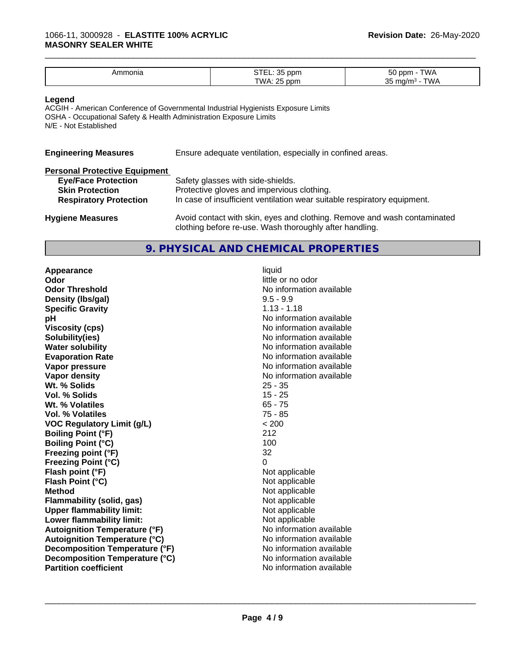| .mmonia<br><b>NU</b> | $\sim$ $\sim$<br>ppm        | $ \sim$<br>T\ ^ / ^<br>$n - n$<br>vv <i>r</i> |
|----------------------|-----------------------------|-----------------------------------------------|
|                      | $\sim$ $\sim$<br>TWA<br>nnm | $\sim$<br>ື                                   |

\_\_\_\_\_\_\_\_\_\_\_\_\_\_\_\_\_\_\_\_\_\_\_\_\_\_\_\_\_\_\_\_\_\_\_\_\_\_\_\_\_\_\_\_\_\_\_\_\_\_\_\_\_\_\_\_\_\_\_\_\_\_\_\_\_\_\_\_\_\_\_\_\_\_\_\_\_\_\_\_\_\_\_\_\_\_\_\_\_\_\_\_\_

#### **Legend**

ACGIH - American Conference of Governmental Industrial Hygienists Exposure Limits OSHA - Occupational Safety & Health Administration Exposure Limits N/E - Not Established

| Ensure adequate ventilation, especially in confined areas.                                                                          |
|-------------------------------------------------------------------------------------------------------------------------------------|
|                                                                                                                                     |
| Safety glasses with side-shields.                                                                                                   |
| Protective gloves and impervious clothing.                                                                                          |
| In case of insufficient ventilation wear suitable respiratory equipment.                                                            |
| Avoid contact with skin, eyes and clothing. Remove and wash contaminated<br>clothing before re-use. Wash thoroughly after handling. |
|                                                                                                                                     |

#### **9. PHYSICAL AND CHEMICAL PROPERTIES**

**Appearance** liquid **Odor Odor** little or no odor<br> **Odor Threshold Containery of the Containery of the Containery of the Containery of the Containery of the Contain Density (lbs/gal)** 9.5 - 9.9 **Specific Gravity** 1.13 - 1.18 **pH** No information available **Viscosity (cps)** No information available **Solubility(ies)** No information available **Water solubility** No information available **Evaporation Rate** Note 2008 and 2009 No information available **Vapor pressure** No information available **Vapor density Vapor** density **Wt. % Solids** 25 - 35 **Vol. % Solids** 15 - 25<br> **Wt. % Volatiles** 65 - 75 **Wt. % Volatiles Vol. % Volatiles** 75 - 85 **VOC Regulatory Limit (g/L)** < 200 **Boiling Point (°F)** 212 **Boiling Point (°C)** 100 **Freezing point (°F)** 32 **Freezing Point (°C)** 0 **Flash point (°F)**<br> **Flash Point (°C)**<br> **Flash Point (°C)**<br> **Not** applicable **Flash Point (°C) Method** Not applicable **Flammability (solid, gas)**<br> **Commability limit:**<br>
Upper flammability limit:<br>
Not applicable **Upper flammability limit:**<br> **Lower flammability limit:**<br>
Not applicable<br>
Not applicable **Lower flammability limit: Autoignition Temperature (°F)**<br> **Autoignition Temperature (°C)** No information available **Autoignition Temperature (°C) Decomposition Temperature (°F)** No information available **Decomposition Temperature (°C)**<br> **Partition coefficient**<br> **Partition coefficient**<br> **No** information available

**No information available No information available**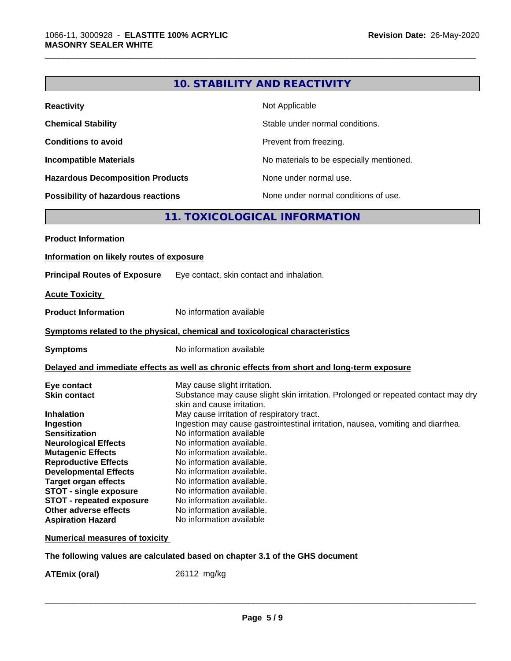| Not Applicable<br><b>Reactivity</b><br>Stable under normal conditions.<br>Prevent from freezing.<br>No materials to be especially mentioned.<br>None under normal use.<br>None under normal conditions of use.<br>11. TOXICOLOGICAL INFORMATION<br>Eye contact, skin contact and inhalation.<br><b>Acute Toxicity</b><br>No information available<br>No information available<br>Delayed and immediate effects as well as chronic effects from short and long-term exposure<br>May cause slight irritation.<br>Eye contact<br>Substance may cause slight skin irritation. Prolonged or repeated contact may dry<br><b>Skin contact</b><br>skin and cause irritation.<br>May cause irritation of respiratory tract.<br>Ingestion may cause gastrointestinal irritation, nausea, vomiting and diarrhea.<br>No information available<br><b>Neurological Effects</b><br>No information available<br>No information available.<br>No information available.<br>No information available.<br>No information available.<br>No information available.<br>No information available.<br>No information available.<br>Other adverse effects<br>No information available<br><b>Aspiration Hazard</b><br><b>Numerical measures of toxicity</b> |  | <b>10. STABILITY AND REACTIVITY</b> |
|-----------------------------------------------------------------------------------------------------------------------------------------------------------------------------------------------------------------------------------------------------------------------------------------------------------------------------------------------------------------------------------------------------------------------------------------------------------------------------------------------------------------------------------------------------------------------------------------------------------------------------------------------------------------------------------------------------------------------------------------------------------------------------------------------------------------------------------------------------------------------------------------------------------------------------------------------------------------------------------------------------------------------------------------------------------------------------------------------------------------------------------------------------------------------------------------------------------------------------------|--|-------------------------------------|
| <b>Chemical Stability</b><br><b>Conditions to avoid</b><br><b>Incompatible Materials</b><br><b>Hazardous Decomposition Products</b><br><b>Possibility of hazardous reactions</b><br><b>Product Information</b><br>Information on likely routes of exposure<br><b>Principal Routes of Exposure</b><br><b>Product Information</b><br>Symptoms related to the physical, chemical and toxicological characteristics<br><b>Symptoms</b><br><b>Inhalation</b><br>Ingestion<br><b>Sensitization</b><br><b>Mutagenic Effects</b><br><b>Reproductive Effects</b><br><b>Developmental Effects</b><br><b>Target organ effects</b><br><b>STOT - single exposure</b><br><b>STOT - repeated exposure</b>                                                                                                                                                                                                                                                                                                                                                                                                                                                                                                                                        |  |                                     |
|                                                                                                                                                                                                                                                                                                                                                                                                                                                                                                                                                                                                                                                                                                                                                                                                                                                                                                                                                                                                                                                                                                                                                                                                                                   |  |                                     |
|                                                                                                                                                                                                                                                                                                                                                                                                                                                                                                                                                                                                                                                                                                                                                                                                                                                                                                                                                                                                                                                                                                                                                                                                                                   |  |                                     |
|                                                                                                                                                                                                                                                                                                                                                                                                                                                                                                                                                                                                                                                                                                                                                                                                                                                                                                                                                                                                                                                                                                                                                                                                                                   |  |                                     |
|                                                                                                                                                                                                                                                                                                                                                                                                                                                                                                                                                                                                                                                                                                                                                                                                                                                                                                                                                                                                                                                                                                                                                                                                                                   |  |                                     |
|                                                                                                                                                                                                                                                                                                                                                                                                                                                                                                                                                                                                                                                                                                                                                                                                                                                                                                                                                                                                                                                                                                                                                                                                                                   |  |                                     |
|                                                                                                                                                                                                                                                                                                                                                                                                                                                                                                                                                                                                                                                                                                                                                                                                                                                                                                                                                                                                                                                                                                                                                                                                                                   |  |                                     |
|                                                                                                                                                                                                                                                                                                                                                                                                                                                                                                                                                                                                                                                                                                                                                                                                                                                                                                                                                                                                                                                                                                                                                                                                                                   |  |                                     |
|                                                                                                                                                                                                                                                                                                                                                                                                                                                                                                                                                                                                                                                                                                                                                                                                                                                                                                                                                                                                                                                                                                                                                                                                                                   |  |                                     |
|                                                                                                                                                                                                                                                                                                                                                                                                                                                                                                                                                                                                                                                                                                                                                                                                                                                                                                                                                                                                                                                                                                                                                                                                                                   |  |                                     |
|                                                                                                                                                                                                                                                                                                                                                                                                                                                                                                                                                                                                                                                                                                                                                                                                                                                                                                                                                                                                                                                                                                                                                                                                                                   |  |                                     |
|                                                                                                                                                                                                                                                                                                                                                                                                                                                                                                                                                                                                                                                                                                                                                                                                                                                                                                                                                                                                                                                                                                                                                                                                                                   |  |                                     |
|                                                                                                                                                                                                                                                                                                                                                                                                                                                                                                                                                                                                                                                                                                                                                                                                                                                                                                                                                                                                                                                                                                                                                                                                                                   |  |                                     |
|                                                                                                                                                                                                                                                                                                                                                                                                                                                                                                                                                                                                                                                                                                                                                                                                                                                                                                                                                                                                                                                                                                                                                                                                                                   |  |                                     |
|                                                                                                                                                                                                                                                                                                                                                                                                                                                                                                                                                                                                                                                                                                                                                                                                                                                                                                                                                                                                                                                                                                                                                                                                                                   |  |                                     |
|                                                                                                                                                                                                                                                                                                                                                                                                                                                                                                                                                                                                                                                                                                                                                                                                                                                                                                                                                                                                                                                                                                                                                                                                                                   |  |                                     |
|                                                                                                                                                                                                                                                                                                                                                                                                                                                                                                                                                                                                                                                                                                                                                                                                                                                                                                                                                                                                                                                                                                                                                                                                                                   |  |                                     |
|                                                                                                                                                                                                                                                                                                                                                                                                                                                                                                                                                                                                                                                                                                                                                                                                                                                                                                                                                                                                                                                                                                                                                                                                                                   |  |                                     |

\_\_\_\_\_\_\_\_\_\_\_\_\_\_\_\_\_\_\_\_\_\_\_\_\_\_\_\_\_\_\_\_\_\_\_\_\_\_\_\_\_\_\_\_\_\_\_\_\_\_\_\_\_\_\_\_\_\_\_\_\_\_\_\_\_\_\_\_\_\_\_\_\_\_\_\_\_\_\_\_\_\_\_\_\_\_\_\_\_\_\_\_\_

#### **The following values are calculated based on chapter 3.1 of the GHS document**

**ATEmix (oral)** 26112 mg/kg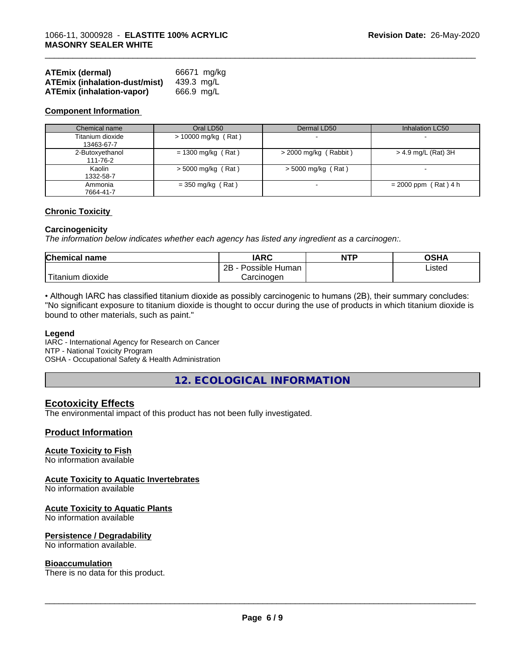| <b>ATEmix (dermal)</b>               | 66671 ma/ka |
|--------------------------------------|-------------|
| <b>ATEmix (inhalation-dust/mist)</b> | 439.3 ma/L  |
| ATEmix (inhalation-vapor)            | 666.9 mg/L  |

#### **Component Information**

| Chemical name                  | Oral LD50             | Dermal LD50              | Inhalation LC50        |
|--------------------------------|-----------------------|--------------------------|------------------------|
| Titanium dioxide<br>13463-67-7 | $> 10000$ mg/kg (Rat) | $\overline{\phantom{0}}$ |                        |
| 2-Butoxyethanol<br>111-76-2    | $= 1300$ mg/kg (Rat)  | $>$ 2000 mg/kg (Rabbit)  | $>$ 4.9 mg/L (Rat) 3H  |
| Kaolin<br>1332-58-7            | $>$ 5000 mg/kg (Rat)  | $>$ 5000 mg/kg (Rat)     |                        |
| Ammonia<br>7664-41-7           | $=$ 350 mg/kg (Rat)   |                          | $= 2000$ ppm (Rat) 4 h |

\_\_\_\_\_\_\_\_\_\_\_\_\_\_\_\_\_\_\_\_\_\_\_\_\_\_\_\_\_\_\_\_\_\_\_\_\_\_\_\_\_\_\_\_\_\_\_\_\_\_\_\_\_\_\_\_\_\_\_\_\_\_\_\_\_\_\_\_\_\_\_\_\_\_\_\_\_\_\_\_\_\_\_\_\_\_\_\_\_\_\_\_\_

#### **Chronic Toxicity**

#### **Carcinogenicity**

*The information below indicateswhether each agency has listed any ingredient as a carcinogen:.*

| Chemical<br>∣ name                                                                                                                              | <b>IARC</b>                 | <b>NTP</b> | <b>OSHA</b> |
|-------------------------------------------------------------------------------------------------------------------------------------------------|-----------------------------|------------|-------------|
|                                                                                                                                                 | <br>2B<br>Possible<br>Human |            | Listed      |
| <b>The Contract of the Contract of the Contract of the Contract of the Contract of the Contract of the Contract o</b><br>n dioxide<br>l itanıum | Carcinoɑen                  |            |             |

• Although IARC has classified titanium dioxide as possibly carcinogenic to humans (2B), their summary concludes: "No significant exposure to titanium dioxide is thought to occur during the use of products in which titanium dioxide is bound to other materials, such as paint."

#### **Legend**

IARC - International Agency for Research on Cancer NTP - National Toxicity Program OSHA - Occupational Safety & Health Administration

**12. ECOLOGICAL INFORMATION**

#### **Ecotoxicity Effects**

The environmental impact of this product has not been fully investigated.

#### **Product Information**

#### **Acute Toxicity to Fish**

No information available

#### **Acute Toxicity to Aquatic Invertebrates**

No information available

#### **Acute Toxicity to Aquatic Plants**

No information available

#### **Persistence / Degradability**

No information available.

#### **Bioaccumulation**

There is no data for this product.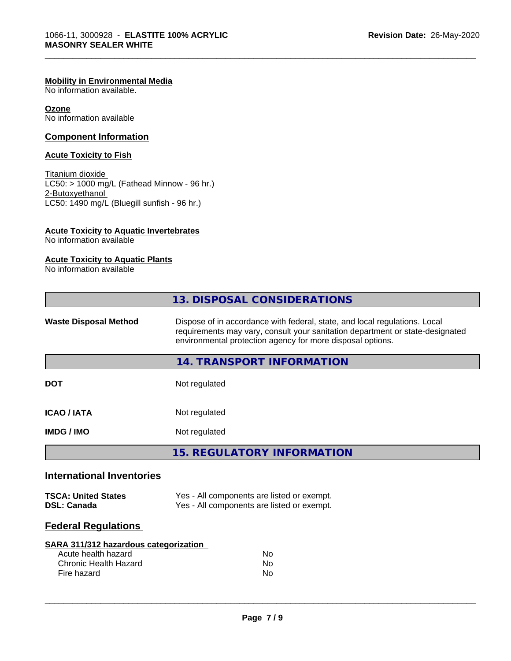#### **Mobility in Environmental Media**

No information available.

**Ozone** No information available

#### **Component Information**

#### **Acute Toxicity to Fish**

Titanium dioxide  $LC50: > 1000$  mg/L (Fathead Minnow - 96 hr.) 2-Butoxyethanol LC50: 1490 mg/L (Bluegill sunfish - 96 hr.)

#### **Acute Toxicity to Aquatic Invertebrates**

No information available

#### **Acute Toxicity to Aquatic Plants**

No information available

|                                                  | 13. DISPOSAL CONSIDERATIONS                                                                                                                                                                                               |  |
|--------------------------------------------------|---------------------------------------------------------------------------------------------------------------------------------------------------------------------------------------------------------------------------|--|
| <b>Waste Disposal Method</b>                     | Dispose of in accordance with federal, state, and local regulations. Local<br>requirements may vary, consult your sanitation department or state-designated<br>environmental protection agency for more disposal options. |  |
|                                                  | <b>14. TRANSPORT INFORMATION</b>                                                                                                                                                                                          |  |
| <b>DOT</b>                                       | Not regulated                                                                                                                                                                                                             |  |
| <b>ICAO/IATA</b>                                 | Not regulated                                                                                                                                                                                                             |  |
| <b>IMDG/IMO</b>                                  | Not regulated                                                                                                                                                                                                             |  |
|                                                  | <b>15. REGULATORY INFORMATION</b>                                                                                                                                                                                         |  |
| <b>International Inventories</b>                 |                                                                                                                                                                                                                           |  |
| <b>TSCA: United States</b><br><b>DSL: Canada</b> | Yes - All components are listed or exempt.<br>Yes - All components are listed or exempt.                                                                                                                                  |  |

\_\_\_\_\_\_\_\_\_\_\_\_\_\_\_\_\_\_\_\_\_\_\_\_\_\_\_\_\_\_\_\_\_\_\_\_\_\_\_\_\_\_\_\_\_\_\_\_\_\_\_\_\_\_\_\_\_\_\_\_\_\_\_\_\_\_\_\_\_\_\_\_\_\_\_\_\_\_\_\_\_\_\_\_\_\_\_\_\_\_\_\_\_

## **Federal Regulations**

| SARA 311/312 hazardous categorization |    |  |
|---------------------------------------|----|--|
| Acute health hazard                   | Nο |  |
| Chronic Health Hazard                 | Nο |  |
| Fire hazard                           | Nο |  |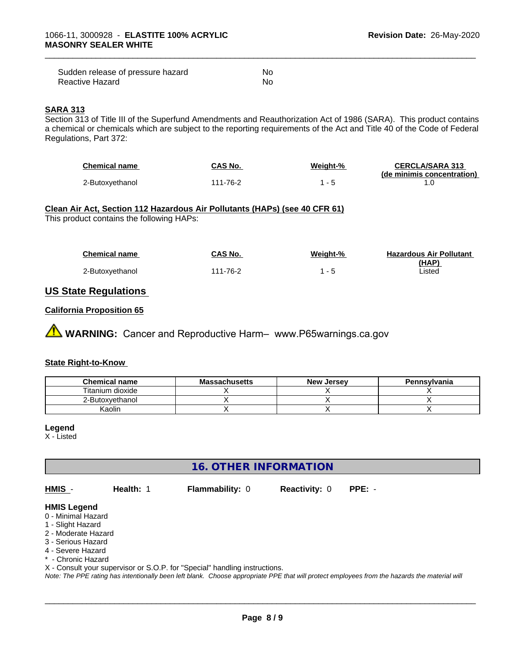| Sudden release of pressure hazard | No |
|-----------------------------------|----|
| Reactive Hazard                   | No |

#### **SARA 313**

Section 313 of Title III of the Superfund Amendments and Reauthorization Act of 1986 (SARA). This product contains a chemical or chemicals which are subject to the reporting requirements of the Act and Title 40 of the Code of Federal Regulations, Part 372:

| Chemical name   | CAS No.  | Weight-% | <b>CERCLA/SARA 313</b>     |
|-----------------|----------|----------|----------------------------|
|                 |          |          | (de minimis concentration) |
| 2-Butoxvethanol | 111-76-2 |          |                            |

\_\_\_\_\_\_\_\_\_\_\_\_\_\_\_\_\_\_\_\_\_\_\_\_\_\_\_\_\_\_\_\_\_\_\_\_\_\_\_\_\_\_\_\_\_\_\_\_\_\_\_\_\_\_\_\_\_\_\_\_\_\_\_\_\_\_\_\_\_\_\_\_\_\_\_\_\_\_\_\_\_\_\_\_\_\_\_\_\_\_\_\_\_

#### **Clean Air Act,Section 112 Hazardous Air Pollutants (HAPs) (see 40 CFR 61)** This product contains the following HAPs:

| <b>Chemical name</b> | CAS No.  | Weiaht-% | <b>Hazardous Air Pollutant</b> |
|----------------------|----------|----------|--------------------------------|
|                      |          |          | (HAP)                          |
| 2-Butoxyethanol      | 111-76-2 |          | ∟isted                         |

#### **US State Regulations**

#### **California Proposition 65**

**AVIMARNING:** Cancer and Reproductive Harm– www.P65warnings.ca.gov

#### **State Right-to-Know**

| <b>Chemical name</b> | <b>Massachusetts</b> | <b>New Jersey</b> | <b>Pennsylvania</b> |
|----------------------|----------------------|-------------------|---------------------|
| Titanium dioxide     |                      |                   |                     |
| 2-Butoxyethanol      |                      |                   |                     |
| Kaolin               |                      |                   |                     |

#### **Legend**

X - Listed

**16. OTHER INFORMATION**

**HMIS** - **Health:** 1 **Flammability:** 0 **Reactivity:** 0 **PPE:** -

 $\overline{\phantom{a}}$  ,  $\overline{\phantom{a}}$  ,  $\overline{\phantom{a}}$  ,  $\overline{\phantom{a}}$  ,  $\overline{\phantom{a}}$  ,  $\overline{\phantom{a}}$  ,  $\overline{\phantom{a}}$  ,  $\overline{\phantom{a}}$  ,  $\overline{\phantom{a}}$  ,  $\overline{\phantom{a}}$  ,  $\overline{\phantom{a}}$  ,  $\overline{\phantom{a}}$  ,  $\overline{\phantom{a}}$  ,  $\overline{\phantom{a}}$  ,  $\overline{\phantom{a}}$  ,  $\overline{\phantom{a}}$ 

### **HMIS Legend**

- 0 Minimal Hazard
- 1 Slight Hazard
- 2 Moderate Hazard
- 3 Serious Hazard
- 4 Severe Hazard
- \* Chronic Hazard
- X Consult your supervisor or S.O.P. for "Special" handling instructions.

*Note: The PPE rating has intentionally been left blank. Choose appropriate PPE that will protect employees from the hazards the material will*